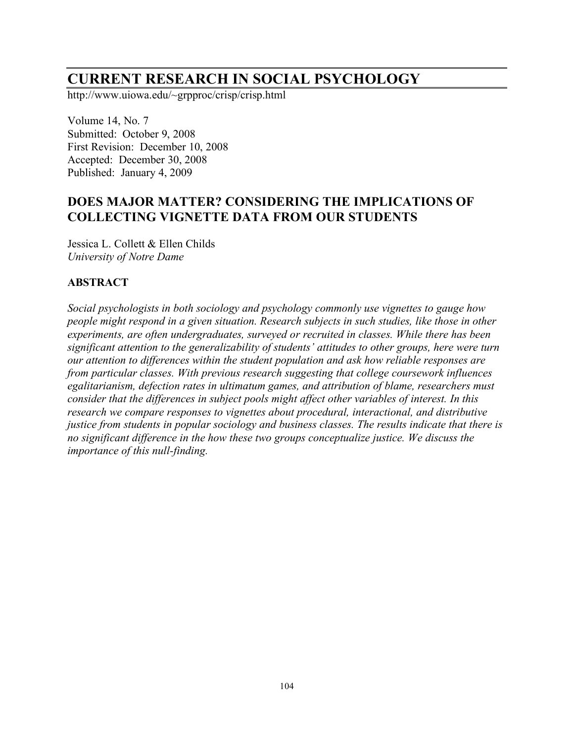## **CURRENT RESEARCH IN SOCIAL PSYCHOLOGY**

http://www.uiowa.edu/~grpproc/crisp/crisp.html

Volume 14, No. 7 Submitted: October 9, 2008 First Revision: December 10, 2008 Accepted: December 30, 2008 Published: January 4, 2009

## **DOES MAJOR MATTER? CONSIDERING THE IMPLICATIONS OF COLLECTING VIGNETTE DATA FROM OUR STUDENTS**

Jessica L. Collett & Ellen Childs *University of Notre Dame*

### **ABSTRACT**

*Social psychologists in both sociology and psychology commonly use vignettes to gauge how people might respond in a given situation. Research subjects in such studies, like those in other experiments, are often undergraduates, surveyed or recruited in classes. While there has been significant attention to the generalizability of students' attitudes to other groups, here were turn our attention to differences within the student population and ask how reliable responses are from particular classes. With previous research suggesting that college coursework influences egalitarianism, defection rates in ultimatum games, and attribution of blame, researchers must consider that the differences in subject pools might affect other variables of interest. In this research we compare responses to vignettes about procedural, interactional, and distributive justice from students in popular sociology and business classes. The results indicate that there is no significant difference in the how these two groups conceptualize justice. We discuss the importance of this null-finding.*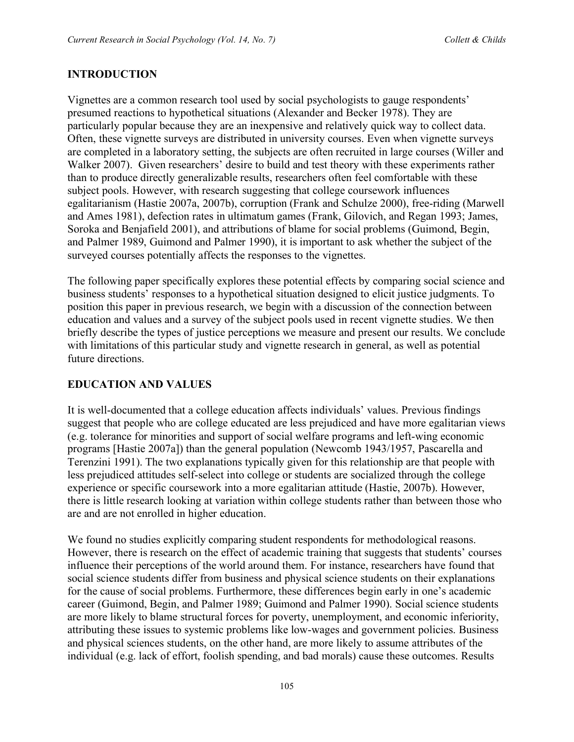#### **INTRODUCTION**

Vignettes are a common research tool used by social psychologists to gauge respondents' presumed reactions to hypothetical situations (Alexander and Becker 1978). They are particularly popular because they are an inexpensive and relatively quick way to collect data. Often, these vignette surveys are distributed in university courses. Even when vignette surveys are completed in a laboratory setting, the subjects are often recruited in large courses (Willer and Walker 2007). Given researchers' desire to build and test theory with these experiments rather than to produce directly generalizable results, researchers often feel comfortable with these subject pools. However, with research suggesting that college coursework influences egalitarianism (Hastie 2007a, 2007b), corruption (Frank and Schulze 2000), free-riding (Marwell and Ames 1981), defection rates in ultimatum games (Frank, Gilovich, and Regan 1993; James, Soroka and Benjafield 2001), and attributions of blame for social problems (Guimond, Begin, and Palmer 1989, Guimond and Palmer 1990), it is important to ask whether the subject of the surveyed courses potentially affects the responses to the vignettes.

The following paper specifically explores these potential effects by comparing social science and business students' responses to a hypothetical situation designed to elicit justice judgments. To position this paper in previous research, we begin with a discussion of the connection between education and values and a survey of the subject pools used in recent vignette studies. We then briefly describe the types of justice perceptions we measure and present our results. We conclude with limitations of this particular study and vignette research in general, as well as potential future directions.

#### **EDUCATION AND VALUES**

It is well-documented that a college education affects individuals' values. Previous findings suggest that people who are college educated are less prejudiced and have more egalitarian views (e.g. tolerance for minorities and support of social welfare programs and left-wing economic programs [Hastie 2007a]) than the general population (Newcomb 1943/1957, Pascarella and Terenzini 1991). The two explanations typically given for this relationship are that people with less prejudiced attitudes self-select into college or students are socialized through the college experience or specific coursework into a more egalitarian attitude (Hastie, 2007b). However, there is little research looking at variation within college students rather than between those who are and are not enrolled in higher education.

We found no studies explicitly comparing student respondents for methodological reasons. However, there is research on the effect of academic training that suggests that students' courses influence their perceptions of the world around them. For instance, researchers have found that social science students differ from business and physical science students on their explanations for the cause of social problems. Furthermore, these differences begin early in one's academic career (Guimond, Begin, and Palmer 1989; Guimond and Palmer 1990). Social science students are more likely to blame structural forces for poverty, unemployment, and economic inferiority, attributing these issues to systemic problems like low-wages and government policies. Business and physical sciences students, on the other hand, are more likely to assume attributes of the individual (e.g. lack of effort, foolish spending, and bad morals) cause these outcomes. Results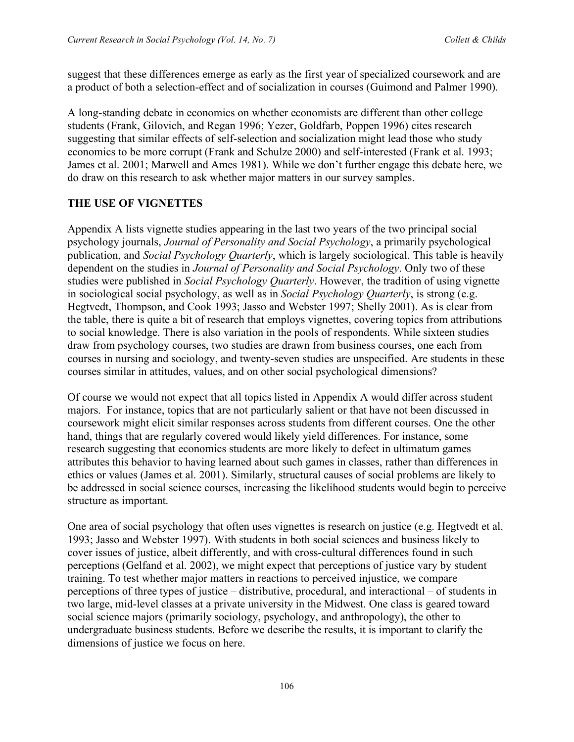suggest that these differences emerge as early as the first year of specialized coursework and are a product of both a selection-effect and of socialization in courses (Guimond and Palmer 1990).

A long-standing debate in economics on whether economists are different than other college students (Frank, Gilovich, and Regan 1996; Yezer, Goldfarb, Poppen 1996) cites research suggesting that similar effects of self-selection and socialization might lead those who study economics to be more corrupt (Frank and Schulze 2000) and self-interested (Frank et al. 1993; James et al. 2001; Marwell and Ames 1981). While we don't further engage this debate here, we do draw on this research to ask whether major matters in our survey samples.

#### **THE USE OF VIGNETTES**

Appendix A lists vignette studies appearing in the last two years of the two principal social psychology journals, *Journal of Personality and Social Psychology*, a primarily psychological publication, and *Social Psychology Quarterly*, which is largely sociological. This table is heavily dependent on the studies in *Journal of Personality and Social Psychology*. Only two of these studies were published in *Social Psychology Quarterly*. However, the tradition of using vignette in sociological social psychology, as well as in *Social Psychology Quarterly*, is strong (e.g. Hegtvedt, Thompson, and Cook 1993; Jasso and Webster 1997; Shelly 2001). As is clear from the table, there is quite a bit of research that employs vignettes, covering topics from attributions to social knowledge. There is also variation in the pools of respondents. While sixteen studies draw from psychology courses, two studies are drawn from business courses, one each from courses in nursing and sociology, and twenty-seven studies are unspecified. Are students in these courses similar in attitudes, values, and on other social psychological dimensions?

Of course we would not expect that all topics listed in Appendix A would differ across student majors. For instance, topics that are not particularly salient or that have not been discussed in coursework might elicit similar responses across students from different courses. One the other hand, things that are regularly covered would likely yield differences. For instance, some research suggesting that economics students are more likely to defect in ultimatum games attributes this behavior to having learned about such games in classes, rather than differences in ethics or values (James et al. 2001). Similarly, structural causes of social problems are likely to be addressed in social science courses, increasing the likelihood students would begin to perceive structure as important.

One area of social psychology that often uses vignettes is research on justice (e.g. Hegtvedt et al. 1993; Jasso and Webster 1997). With students in both social sciences and business likely to cover issues of justice, albeit differently, and with cross-cultural differences found in such perceptions (Gelfand et al. 2002), we might expect that perceptions of justice vary by student training. To test whether major matters in reactions to perceived injustice, we compare perceptions of three types of justice – distributive, procedural, and interactional – of students in two large, mid-level classes at a private university in the Midwest. One class is geared toward social science majors (primarily sociology, psychology, and anthropology), the other to undergraduate business students. Before we describe the results, it is important to clarify the dimensions of justice we focus on here.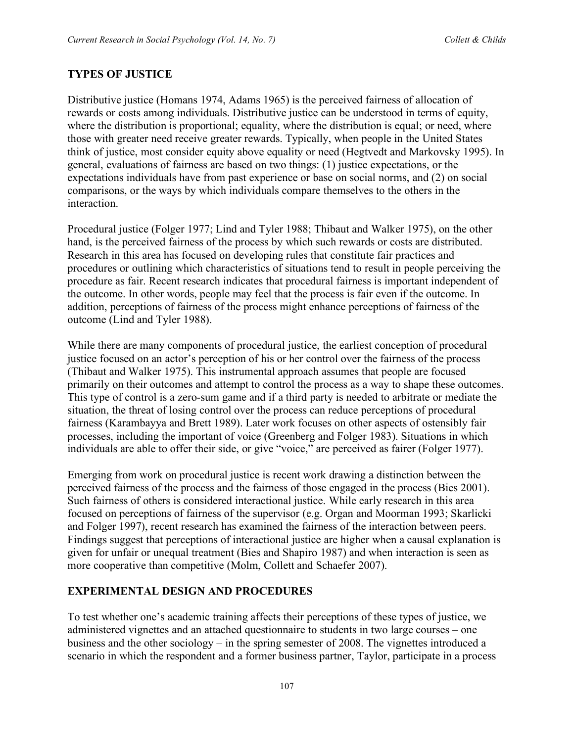#### **TYPES OF JUSTICE**

Distributive justice (Homans 1974, Adams 1965) is the perceived fairness of allocation of rewards or costs among individuals. Distributive justice can be understood in terms of equity, where the distribution is proportional; equality, where the distribution is equal; or need, where those with greater need receive greater rewards. Typically, when people in the United States think of justice, most consider equity above equality or need (Hegtvedt and Markovsky 1995). In general, evaluations of fairness are based on two things: (1) justice expectations, or the expectations individuals have from past experience or base on social norms, and (2) on social comparisons, or the ways by which individuals compare themselves to the others in the interaction.

Procedural justice (Folger 1977; Lind and Tyler 1988; Thibaut and Walker 1975), on the other hand, is the perceived fairness of the process by which such rewards or costs are distributed. Research in this area has focused on developing rules that constitute fair practices and procedures or outlining which characteristics of situations tend to result in people perceiving the procedure as fair. Recent research indicates that procedural fairness is important independent of the outcome. In other words, people may feel that the process is fair even if the outcome. In addition, perceptions of fairness of the process might enhance perceptions of fairness of the outcome (Lind and Tyler 1988).

While there are many components of procedural justice, the earliest conception of procedural justice focused on an actor's perception of his or her control over the fairness of the process (Thibaut and Walker 1975). This instrumental approach assumes that people are focused primarily on their outcomes and attempt to control the process as a way to shape these outcomes. This type of control is a zero-sum game and if a third party is needed to arbitrate or mediate the situation, the threat of losing control over the process can reduce perceptions of procedural fairness (Karambayya and Brett 1989). Later work focuses on other aspects of ostensibly fair processes, including the important of voice (Greenberg and Folger 1983). Situations in which individuals are able to offer their side, or give "voice," are perceived as fairer (Folger 1977).

Emerging from work on procedural justice is recent work drawing a distinction between the perceived fairness of the process and the fairness of those engaged in the process (Bies 2001). Such fairness of others is considered interactional justice. While early research in this area focused on perceptions of fairness of the supervisor (e.g. Organ and Moorman 1993; Skarlicki and Folger 1997), recent research has examined the fairness of the interaction between peers. Findings suggest that perceptions of interactional justice are higher when a causal explanation is given for unfair or unequal treatment (Bies and Shapiro 1987) and when interaction is seen as more cooperative than competitive (Molm, Collett and Schaefer 2007).

#### **EXPERIMENTAL DESIGN AND PROCEDURES**

To test whether one's academic training affects their perceptions of these types of justice, we administered vignettes and an attached questionnaire to students in two large courses – one business and the other sociology – in the spring semester of 2008. The vignettes introduced a scenario in which the respondent and a former business partner, Taylor, participate in a process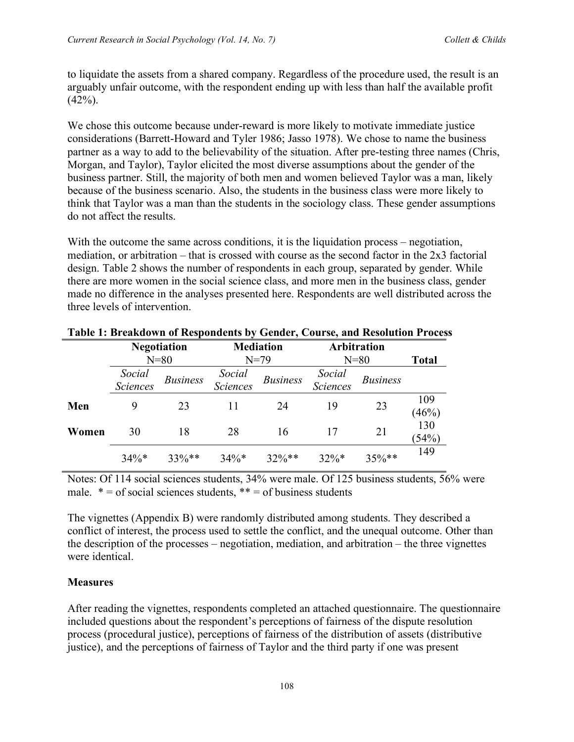to liquidate the assets from a shared company. Regardless of the procedure used, the result is an arguably unfair outcome, with the respondent ending up with less than half the available profit  $(42\%)$ .

We chose this outcome because under-reward is more likely to motivate immediate justice considerations (Barrett-Howard and Tyler 1986; Jasso 1978). We chose to name the business partner as a way to add to the believability of the situation. After pre-testing three names (Chris, Morgan, and Taylor), Taylor elicited the most diverse assumptions about the gender of the business partner. Still, the majority of both men and women believed Taylor was a man, likely because of the business scenario. Also, the students in the business class were more likely to think that Taylor was a man than the students in the sociology class. These gender assumptions do not affect the results.

With the outcome the same across conditions, it is the liquidation process – negotiation, mediation, or arbitration – that is crossed with course as the second factor in the 2x3 factorial design. Table 2 shows the number of respondents in each group, separated by gender. While there are more women in the social science class, and more men in the business class, gender made no difference in the analyses presented here. Respondents are well distributed across the three levels of intervention.

|       | <b>Negotiation</b> |                 | <b>Mediation</b>          |                 | <b>Arbitration</b> |                 |              |
|-------|--------------------|-----------------|---------------------------|-----------------|--------------------|-----------------|--------------|
|       | $N=80$             |                 | $N=79$                    |                 | $N=80$             |                 | <b>Total</b> |
|       | Social<br>Sciences | <b>Business</b> | Social<br><b>Sciences</b> | <b>Business</b> | Social<br>Sciences | <b>Business</b> |              |
| Men   | 9                  | 23              | 11                        | 24              | 19                 | 23              | 109<br>(46%) |
| Women | 30                 | 18              | 28                        | 16              | 17                 | 21              | 130<br>(54%) |
|       | $34\%*$            | $33\%**$        | $34\%*$                   | $32\%**$        | $32\%*$            | $35\%**$        | 149          |

#### **Table 1: Breakdown of Respondents by Gender, Course, and Resolution Process**

Notes: Of 114 social sciences students, 34% were male. Of 125 business students, 56% were male.  $* =$  of social sciences students,  $** =$  of business students

The vignettes (Appendix B) were randomly distributed among students. They described a conflict of interest, the process used to settle the conflict, and the unequal outcome. Other than the description of the processes – negotiation, mediation, and arbitration – the three vignettes were identical.

#### **Measures**

After reading the vignettes, respondents completed an attached questionnaire. The questionnaire included questions about the respondent's perceptions of fairness of the dispute resolution process (procedural justice), perceptions of fairness of the distribution of assets (distributive justice), and the perceptions of fairness of Taylor and the third party if one was present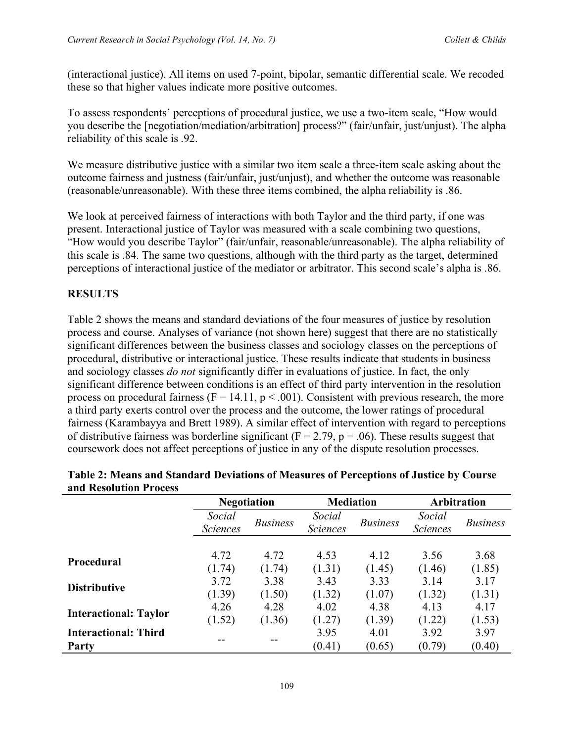(interactional justice). All items on used 7-point, bipolar, semantic differential scale. We recoded these so that higher values indicate more positive outcomes.

To assess respondents' perceptions of procedural justice, we use a two-item scale, "How would you describe the [negotiation/mediation/arbitration] process?" (fair/unfair, just/unjust). The alpha reliability of this scale is .92.

We measure distributive justice with a similar two item scale a three-item scale asking about the outcome fairness and justness (fair/unfair, just/unjust), and whether the outcome was reasonable (reasonable/unreasonable). With these three items combined, the alpha reliability is .86.

We look at perceived fairness of interactions with both Taylor and the third party, if one was present. Interactional justice of Taylor was measured with a scale combining two questions, "How would you describe Taylor" (fair/unfair, reasonable/unreasonable). The alpha reliability of this scale is .84. The same two questions, although with the third party as the target, determined perceptions of interactional justice of the mediator or arbitrator. This second scale's alpha is .86.

#### **RESULTS**

Table 2 shows the means and standard deviations of the four measures of justice by resolution process and course. Analyses of variance (not shown here) suggest that there are no statistically significant differences between the business classes and sociology classes on the perceptions of procedural, distributive or interactional justice. These results indicate that students in business and sociology classes *do not* significantly differ in evaluations of justice. In fact, the only significant difference between conditions is an effect of third party intervention in the resolution process on procedural fairness ( $F = 14.11$ ,  $p < .001$ ). Consistent with previous research, the more a third party exerts control over the process and the outcome, the lower ratings of procedural fairness (Karambayya and Brett 1989). A similar effect of intervention with regard to perceptions of distributive fairness was borderline significant ( $F = 2.79$ ,  $p = .06$ ). These results suggest that coursework does not affect perceptions of justice in any of the dispute resolution processes.

|                              | <b>Negotiation</b>        |                 | <b>Mediation</b>          |                 | <b>Arbitration</b>        |                 |
|------------------------------|---------------------------|-----------------|---------------------------|-----------------|---------------------------|-----------------|
|                              | Social<br><b>Sciences</b> | <b>Business</b> | Social<br><b>Sciences</b> | <b>Business</b> | Social<br><b>Sciences</b> | <b>Business</b> |
|                              | 4.72                      | 4.72            | 4.53                      | 4.12            | 3.56                      | 3.68            |
| <b>Procedural</b>            | (1.74)                    | (1.74)          | (1.31)                    | (1.45)          | (1.46)                    | (1.85)          |
| <b>Distributive</b>          | 3.72                      | 3.38            | 3.43                      | 3.33            | 3.14                      | 3.17            |
|                              | (1.39)                    | (1.50)          | (1.32)                    | (1.07)          | (1.32)                    | (1.31)          |
| <b>Interactional: Taylor</b> | 4.26                      | 4.28            | 4.02                      | 4.38            | 4.13                      | 4.17            |
|                              | (1.52)                    | (1.36)          | (1.27)                    | (1.39)          | (1.22)                    | (1.53)          |
| <b>Interactional: Third</b>  |                           |                 | 3.95                      | 4.01            | 3.92                      | 3.97            |
| <b>Party</b>                 |                           |                 | (0.41)                    | (0.65)          | (0.79)                    | (0.40)          |

#### **Table 2: Means and Standard Deviations of Measures of Perceptions of Justice by Course and Resolution Process**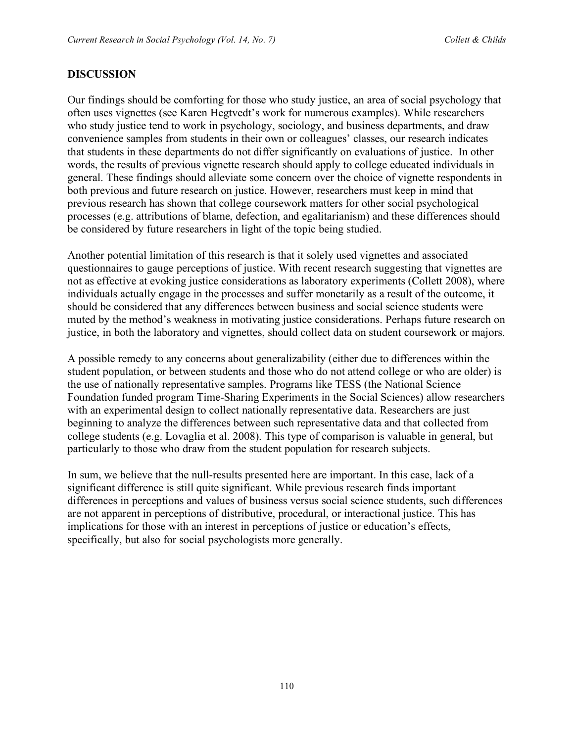#### **DISCUSSION**

Our findings should be comforting for those who study justice, an area of social psychology that often uses vignettes (see Karen Hegtvedt's work for numerous examples). While researchers who study justice tend to work in psychology, sociology, and business departments, and draw convenience samples from students in their own or colleagues' classes, our research indicates that students in these departments do not differ significantly on evaluations of justice. In other words, the results of previous vignette research should apply to college educated individuals in general. These findings should alleviate some concern over the choice of vignette respondents in both previous and future research on justice. However, researchers must keep in mind that previous research has shown that college coursework matters for other social psychological processes (e.g. attributions of blame, defection, and egalitarianism) and these differences should be considered by future researchers in light of the topic being studied.

Another potential limitation of this research is that it solely used vignettes and associated questionnaires to gauge perceptions of justice. With recent research suggesting that vignettes are not as effective at evoking justice considerations as laboratory experiments (Collett 2008), where individuals actually engage in the processes and suffer monetarily as a result of the outcome, it should be considered that any differences between business and social science students were muted by the method's weakness in motivating justice considerations. Perhaps future research on justice, in both the laboratory and vignettes, should collect data on student coursework or majors.

A possible remedy to any concerns about generalizability (either due to differences within the student population, or between students and those who do not attend college or who are older) is the use of nationally representative samples. Programs like TESS (the National Science Foundation funded program Time-Sharing Experiments in the Social Sciences) allow researchers with an experimental design to collect nationally representative data. Researchers are just beginning to analyze the differences between such representative data and that collected from college students (e.g. Lovaglia et al. 2008). This type of comparison is valuable in general, but particularly to those who draw from the student population for research subjects.

In sum, we believe that the null-results presented here are important. In this case, lack of a significant difference is still quite significant. While previous research finds important differences in perceptions and values of business versus social science students, such differences are not apparent in perceptions of distributive, procedural, or interactional justice. This has implications for those with an interest in perceptions of justice or education's effects, specifically, but also for social psychologists more generally.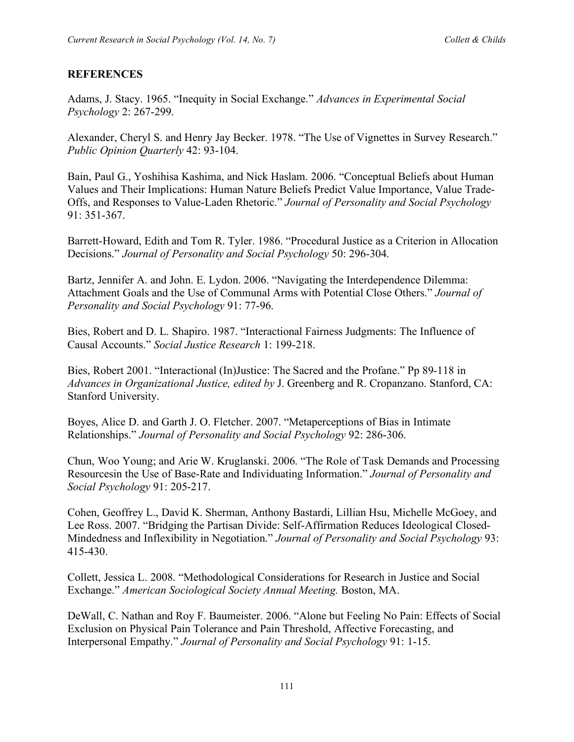#### **REFERENCES**

Adams, J. Stacy. 1965. "Inequity in Social Exchange." *Advances in Experimental Social Psychology* 2: 267-299.

Alexander, Cheryl S. and Henry Jay Becker. 1978. "The Use of Vignettes in Survey Research." *Public Opinion Quarterly* 42: 93-104.

Bain, Paul G., Yoshihisa Kashima, and Nick Haslam. 2006. "Conceptual Beliefs about Human Values and Their Implications: Human Nature Beliefs Predict Value Importance, Value Trade-Offs, and Responses to Value-Laden Rhetoric." *Journal of Personality and Social Psychology* 91: 351-367.

Barrett-Howard, Edith and Tom R. Tyler. 1986. "Procedural Justice as a Criterion in Allocation Decisions." *Journal of Personality and Social Psychology* 50: 296-304.

Bartz, Jennifer A. and John. E. Lydon. 2006. "Navigating the Interdependence Dilemma: Attachment Goals and the Use of Communal Arms with Potential Close Others." *Journal of Personality and Social Psychology* 91: 77-96.

Bies, Robert and D. L. Shapiro. 1987. "Interactional Fairness Judgments: The Influence of Causal Accounts." *Social Justice Research* 1: 199-218.

Bies, Robert 2001. "Interactional (In)Justice: The Sacred and the Profane." Pp 89-118 in *Advances in Organizational Justice, edited by* J. Greenberg and R. Cropanzano. Stanford, CA: Stanford University.

Boyes, Alice D. and Garth J. O. Fletcher. 2007. "Metaperceptions of Bias in Intimate Relationships." *Journal of Personality and Social Psychology* 92: 286-306.

Chun, Woo Young; and Arie W. Kruglanski. 2006. "The Role of Task Demands and Processing Resourcesin the Use of Base-Rate and Individuating Information." *Journal of Personality and Social Psychology* 91: 205-217.

Cohen, Geoffrey L., David K. Sherman, Anthony Bastardi, Lillian Hsu, Michelle McGoey, and Lee Ross. 2007. "Bridging the Partisan Divide: Self-Affirmation Reduces Ideological Closed-Mindedness and Inflexibility in Negotiation." *Journal of Personality and Social Psychology* 93: 415-430.

Collett, Jessica L. 2008. "Methodological Considerations for Research in Justice and Social Exchange." *American Sociological Society Annual Meeting.* Boston, MA.

DeWall, C. Nathan and Roy F. Baumeister. 2006. "Alone but Feeling No Pain: Effects of Social Exclusion on Physical Pain Tolerance and Pain Threshold, Affective Forecasting, and Interpersonal Empathy." *Journal of Personality and Social Psychology* 91: 1-15.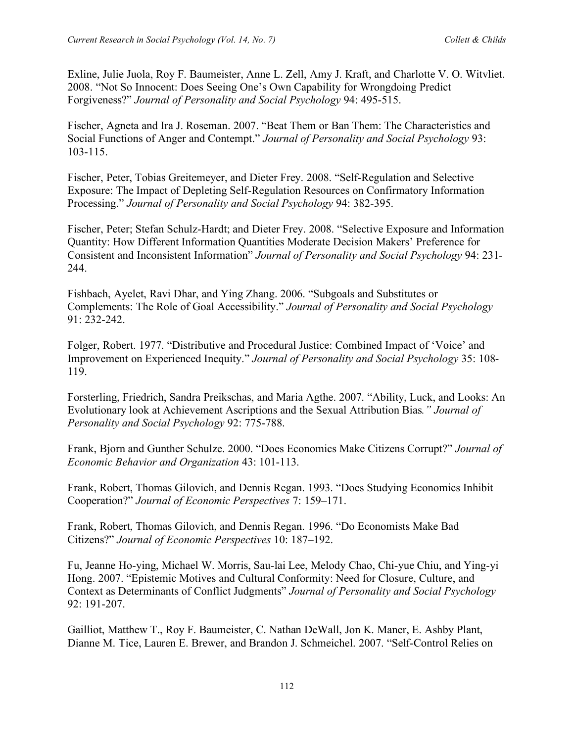Exline, Julie Juola, Roy F. Baumeister, Anne L. Zell, Amy J. Kraft, and Charlotte V. O. Witvliet. 2008. "Not So Innocent: Does Seeing One's Own Capability for Wrongdoing Predict Forgiveness?" *Journal of Personality and Social Psychology* 94: 495-515.

Fischer, Agneta and Ira J. Roseman. 2007. "Beat Them or Ban Them: The Characteristics and Social Functions of Anger and Contempt." *Journal of Personality and Social Psychology* 93: 103-115.

Fischer, Peter, Tobias Greitemeyer, and Dieter Frey. 2008. "Self-Regulation and Selective Exposure: The Impact of Depleting Self-Regulation Resources on Confirmatory Information Processing." *Journal of Personality and Social Psychology* 94: 382-395.

Fischer, Peter; Stefan Schulz-Hardt; and Dieter Frey. 2008. "Selective Exposure and Information Quantity: How Different Information Quantities Moderate Decision Makers' Preference for Consistent and Inconsistent Information" *Journal of Personality and Social Psychology* 94: 231- 244.

Fishbach, Ayelet, Ravi Dhar, and Ying Zhang. 2006. "Subgoals and Substitutes or Complements: The Role of Goal Accessibility." *Journal of Personality and Social Psychology* 91: 232-242.

Folger, Robert. 1977. "Distributive and Procedural Justice: Combined Impact of 'Voice' and Improvement on Experienced Inequity." *Journal of Personality and Social Psychology* 35: 108- 119.

Forsterling, Friedrich, Sandra Preikschas, and Maria Agthe. 2007. "Ability, Luck, and Looks: An Evolutionary look at Achievement Ascriptions and the Sexual Attribution Bias*." Journal of Personality and Social Psychology* 92: 775-788.

Frank, Bjorn and Gunther Schulze. 2000. "Does Economics Make Citizens Corrupt?" *Journal of Economic Behavior and Organization* 43: 101-113.

Frank, Robert, Thomas Gilovich, and Dennis Regan. 1993. "Does Studying Economics Inhibit Cooperation?" *Journal of Economic Perspectives* 7: 159–171.

Frank, Robert, Thomas Gilovich, and Dennis Regan. 1996. "Do Economists Make Bad Citizens?" *Journal of Economic Perspectives* 10: 187–192.

Fu, Jeanne Ho-ying, Michael W. Morris, Sau-lai Lee, Melody Chao, Chi-yue Chiu, and Ying-yi Hong. 2007. "Epistemic Motives and Cultural Conformity: Need for Closure, Culture, and Context as Determinants of Conflict Judgments" *Journal of Personality and Social Psychology* 92: 191-207.

Gailliot, Matthew T., Roy F. Baumeister, C. Nathan DeWall, Jon K. Maner, E. Ashby Plant, Dianne M. Tice, Lauren E. Brewer, and Brandon J. Schmeichel. 2007. "Self-Control Relies on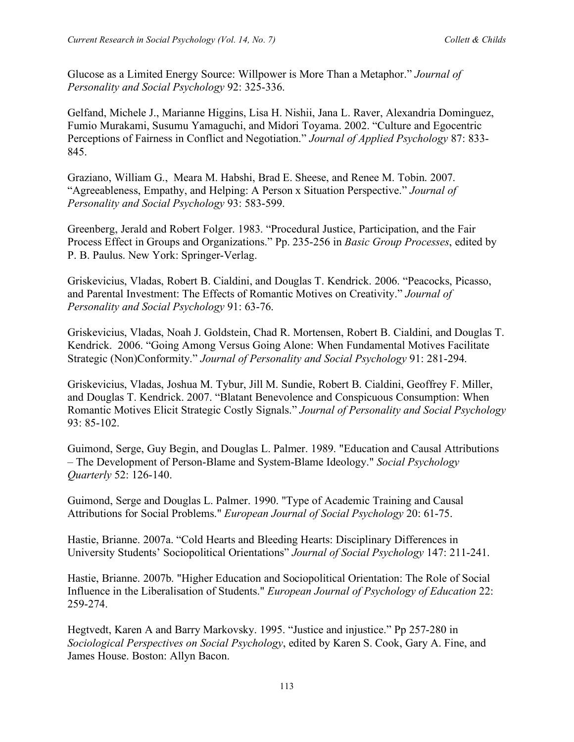Glucose as a Limited Energy Source: Willpower is More Than a Metaphor." *Journal of Personality and Social Psychology* 92: 325-336.

Gelfand, Michele J., Marianne Higgins, Lisa H. Nishii, Jana L. Raver, Alexandria Dominguez, Fumio Murakami, Susumu Yamaguchi, and Midori Toyama. 2002. "Culture and Egocentric Perceptions of Fairness in Conflict and Negotiation." *Journal of Applied Psychology* 87: 833- 845.

Graziano, William G., Meara M. Habshi, Brad E. Sheese, and Renee M. Tobin. 2007. "Agreeableness, Empathy, and Helping: A Person x Situation Perspective." *Journal of Personality and Social Psychology* 93: 583-599.

Greenberg, Jerald and Robert Folger. 1983. "Procedural Justice, Participation, and the Fair Process Effect in Groups and Organizations." Pp. 235-256 in *Basic Group Processes*, edited by P. B. Paulus. New York: Springer-Verlag.

Griskevicius, Vladas, Robert B. Cialdini, and Douglas T. Kendrick. 2006. "Peacocks, Picasso, and Parental Investment: The Effects of Romantic Motives on Creativity." *Journal of Personality and Social Psychology* 91: 63-76.

Griskevicius, Vladas, Noah J. Goldstein, Chad R. Mortensen, Robert B. Cialdini, and Douglas T. Kendrick. 2006. "Going Among Versus Going Alone: When Fundamental Motives Facilitate Strategic (Non)Conformity." *Journal of Personality and Social Psychology* 91: 281-294.

Griskevicius, Vladas, Joshua M. Tybur, Jill M. Sundie, Robert B. Cialdini, Geoffrey F. Miller, and Douglas T. Kendrick. 2007. "Blatant Benevolence and Conspicuous Consumption: When Romantic Motives Elicit Strategic Costly Signals." *Journal of Personality and Social Psychology* 93: 85-102.

Guimond, Serge, Guy Begin, and Douglas L. Palmer. 1989. "Education and Causal Attributions – The Development of Person-Blame and System-Blame Ideology." *Social Psychology Quarterly* 52: 126-140.

Guimond, Serge and Douglas L. Palmer. 1990. "Type of Academic Training and Causal Attributions for Social Problems." *European Journal of Social Psychology* 20: 61-75.

Hastie, Brianne. 2007a. "Cold Hearts and Bleeding Hearts: Disciplinary Differences in University Students' Sociopolitical Orientations" *Journal of Social Psychology* 147: 211-241.

Hastie, Brianne. 2007b. "Higher Education and Sociopolitical Orientation: The Role of Social Influence in the Liberalisation of Students." *European Journal of Psychology of Education* 22: 259-274.

Hegtvedt, Karen A and Barry Markovsky. 1995. "Justice and injustice." Pp 257-280 in *Sociological Perspectives on Social Psychology*, edited by Karen S. Cook, Gary A. Fine, and James House. Boston: Allyn Bacon.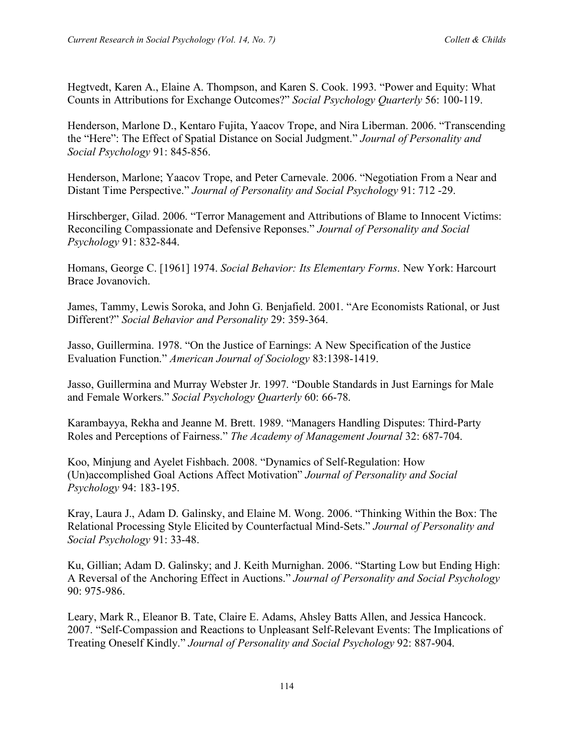Hegtvedt, Karen A., Elaine A. Thompson, and Karen S. Cook. 1993. "Power and Equity: What Counts in Attributions for Exchange Outcomes?" *Social Psychology Quarterly* 56: 100-119.

Henderson, Marlone D., Kentaro Fujita, Yaacov Trope, and Nira Liberman. 2006. "Transcending the "Here": The Effect of Spatial Distance on Social Judgment." *Journal of Personality and Social Psychology* 91: 845-856.

Henderson, Marlone; Yaacov Trope, and Peter Carnevale. 2006. "Negotiation From a Near and Distant Time Perspective." *Journal of Personality and Social Psychology* 91: 712 -29.

Hirschberger, Gilad. 2006. "Terror Management and Attributions of Blame to Innocent Victims: Reconciling Compassionate and Defensive Reponses." *Journal of Personality and Social Psychology* 91: 832-844.

Homans, George C. [1961] 1974. *Social Behavior: Its Elementary Forms*. New York: Harcourt Brace Jovanovich.

James, Tammy, Lewis Soroka, and John G. Benjafield. 2001. "Are Economists Rational, or Just Different?" *Social Behavior and Personality* 29: 359-364.

Jasso, Guillermina. 1978. "On the Justice of Earnings: A New Specification of the Justice Evaluation Function." *American Journal of Sociology* 83:1398-1419.

Jasso, Guillermina and Murray Webster Jr. 1997. "Double Standards in Just Earnings for Male and Female Workers." *Social Psychology Quarterly* 60: 66-78.

Karambayya, Rekha and Jeanne M. Brett. 1989. "Managers Handling Disputes: Third-Party Roles and Perceptions of Fairness." *The Academy of Management Journal* 32: 687-704.

Koo, Minjung and Ayelet Fishbach. 2008. "Dynamics of Self-Regulation: How (Un)accomplished Goal Actions Affect Motivation" *Journal of Personality and Social Psychology* 94: 183-195.

Kray, Laura J., Adam D. Galinsky, and Elaine M. Wong. 2006. "Thinking Within the Box: The Relational Processing Style Elicited by Counterfactual Mind-Sets." *Journal of Personality and Social Psychology* 91: 33-48.

Ku, Gillian; Adam D. Galinsky; and J. Keith Murnighan. 2006. "Starting Low but Ending High: A Reversal of the Anchoring Effect in Auctions." *Journal of Personality and Social Psychology* 90: 975-986.

Leary, Mark R., Eleanor B. Tate, Claire E. Adams, Ahsley Batts Allen, and Jessica Hancock. 2007. "Self-Compassion and Reactions to Unpleasant Self-Relevant Events: The Implications of Treating Oneself Kindly." *Journal of Personality and Social Psychology* 92: 887-904.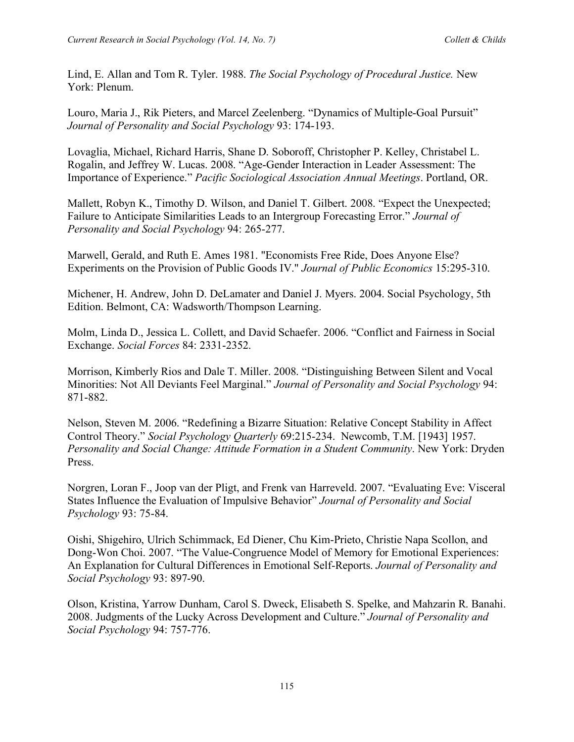Lind, E. Allan and Tom R. Tyler. 1988. *The Social Psychology of Procedural Justice.* New York: Plenum.

Louro, Maria J., Rik Pieters, and Marcel Zeelenberg. "Dynamics of Multiple-Goal Pursuit" *Journal of Personality and Social Psychology* 93: 174-193.

Lovaglia, Michael, Richard Harris, Shane D. Soboroff, Christopher P. Kelley, Christabel L. Rogalin, and Jeffrey W. Lucas. 2008. "Age-Gender Interaction in Leader Assessment: The Importance of Experience." *Pacific Sociological Association Annual Meetings*. Portland, OR.

Mallett, Robyn K., Timothy D. Wilson, and Daniel T. Gilbert. 2008. "Expect the Unexpected; Failure to Anticipate Similarities Leads to an Intergroup Forecasting Error." *Journal of Personality and Social Psychology* 94: 265-277.

Marwell, Gerald, and Ruth E. Ames 1981. "Economists Free Ride, Does Anyone Else? Experiments on the Provision of Public Goods IV." *Journal of Public Economics* 15:295-310.

Michener, H. Andrew, John D. DeLamater and Daniel J. Myers. 2004. Social Psychology, 5th Edition. Belmont, CA: Wadsworth/Thompson Learning.

Molm, Linda D., Jessica L. Collett, and David Schaefer. 2006. "Conflict and Fairness in Social Exchange. *Social Forces* 84: 2331-2352.

Morrison, Kimberly Rios and Dale T. Miller. 2008. "Distinguishing Between Silent and Vocal Minorities: Not All Deviants Feel Marginal." *Journal of Personality and Social Psychology* 94: 871-882.

Nelson, Steven M. 2006. "Redefining a Bizarre Situation: Relative Concept Stability in Affect Control Theory." *Social Psychology Quarterly* 69:215-234. Newcomb, T.M. [1943] 1957. *Personality and Social Change: Attitude Formation in a Student Community*. New York: Dryden Press.

Norgren, Loran F., Joop van der Pligt, and Frenk van Harreveld. 2007. "Evaluating Eve: Visceral States Influence the Evaluation of Impulsive Behavior" *Journal of Personality and Social Psychology* 93: 75-84.

Oishi, Shigehiro, Ulrich Schimmack, Ed Diener, Chu Kim-Prieto, Christie Napa Scollon, and Dong-Won Choi. 2007. "The Value-Congruence Model of Memory for Emotional Experiences: An Explanation for Cultural Differences in Emotional Self-Reports. *Journal of Personality and Social Psychology* 93: 897-90.

Olson, Kristina, Yarrow Dunham, Carol S. Dweck, Elisabeth S. Spelke, and Mahzarin R. Banahi. 2008. Judgments of the Lucky Across Development and Culture." *Journal of Personality and Social Psychology* 94: 757-776.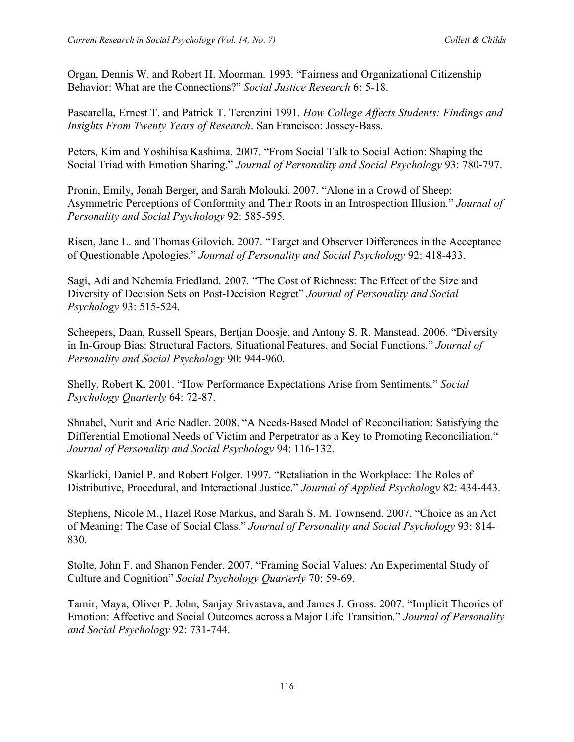Organ, Dennis W. and Robert H. Moorman. 1993. "Fairness and Organizational Citizenship Behavior: What are the Connections?" *Social Justice Research* 6: 5-18.

Pascarella, Ernest T. and Patrick T. Terenzini 1991. *How College Affects Students: Findings and Insights From Twenty Years of Research*. San Francisco: Jossey-Bass.

Peters, Kim and Yoshihisa Kashima. 2007. "From Social Talk to Social Action: Shaping the Social Triad with Emotion Sharing." *Journal of Personality and Social Psychology* 93: 780-797.

Pronin, Emily, Jonah Berger, and Sarah Molouki. 2007. "Alone in a Crowd of Sheep: Asymmetric Perceptions of Conformity and Their Roots in an Introspection Illusion." *Journal of Personality and Social Psychology* 92: 585-595.

Risen, Jane L. and Thomas Gilovich. 2007. "Target and Observer Differences in the Acceptance of Questionable Apologies." *Journal of Personality and Social Psychology* 92: 418-433.

Sagi, Adi and Nehemia Friedland. 2007. "The Cost of Richness: The Effect of the Size and Diversity of Decision Sets on Post-Decision Regret" *Journal of Personality and Social Psychology* 93: 515-524.

Scheepers, Daan, Russell Spears, Bertjan Doosje, and Antony S. R. Manstead. 2006. "Diversity in In-Group Bias: Structural Factors, Situational Features, and Social Functions." *Journal of Personality and Social Psychology* 90: 944-960.

Shelly, Robert K. 2001. "How Performance Expectations Arise from Sentiments." *Social Psychology Quarterly* 64: 72-87.

Shnabel, Nurit and Arie Nadler. 2008. "A Needs-Based Model of Reconciliation: Satisfying the Differential Emotional Needs of Victim and Perpetrator as a Key to Promoting Reconciliation." *Journal of Personality and Social Psychology* 94: 116-132.

Skarlicki, Daniel P. and Robert Folger. 1997. "Retaliation in the Workplace: The Roles of Distributive, Procedural, and Interactional Justice." *Journal of Applied Psychology* 82: 434-443.

Stephens, Nicole M., Hazel Rose Markus, and Sarah S. M. Townsend. 2007. "Choice as an Act of Meaning: The Case of Social Class." *Journal of Personality and Social Psychology* 93: 814- 830.

Stolte, John F. and Shanon Fender. 2007. "Framing Social Values: An Experimental Study of Culture and Cognition" *Social Psychology Quarterly* 70: 59-69.

Tamir, Maya, Oliver P. John, Sanjay Srivastava, and James J. Gross. 2007. "Implicit Theories of Emotion: Affective and Social Outcomes across a Major Life Transition." *Journal of Personality and Social Psychology* 92: 731-744.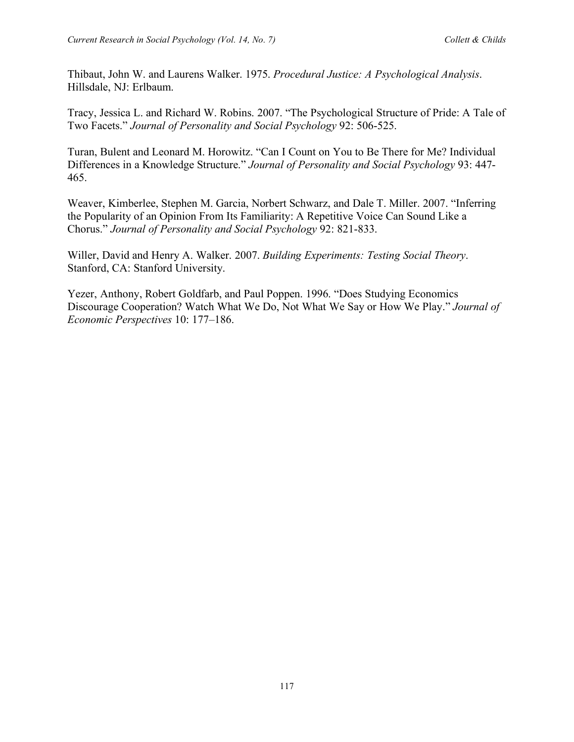Thibaut, John W. and Laurens Walker. 1975. *Procedural Justice: A Psychological Analysis*. Hillsdale, NJ: Erlbaum.

Tracy, Jessica L. and Richard W. Robins. 2007. "The Psychological Structure of Pride: A Tale of Two Facets." *Journal of Personality and Social Psychology* 92: 506-525.

Turan, Bulent and Leonard M. Horowitz. "Can I Count on You to Be There for Me? Individual Differences in a Knowledge Structure." *Journal of Personality and Social Psychology* 93: 447- 465.

Weaver, Kimberlee, Stephen M. Garcia, Norbert Schwarz, and Dale T. Miller. 2007. "Inferring the Popularity of an Opinion From Its Familiarity: A Repetitive Voice Can Sound Like a Chorus." *Journal of Personality and Social Psychology* 92: 821-833.

Willer, David and Henry A. Walker. 2007. *Building Experiments: Testing Social Theory*. Stanford, CA: Stanford University.

Yezer, Anthony, Robert Goldfarb, and Paul Poppen. 1996. "Does Studying Economics Discourage Cooperation? Watch What We Do, Not What We Say or How We Play." *Journal of Economic Perspectives* 10: 177–186.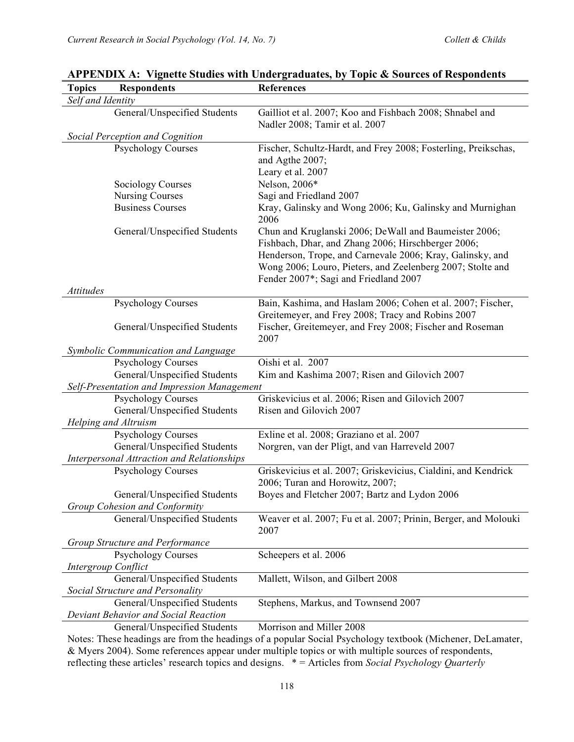| <b>Topics</b>     | <b>Respondents</b>                          | <b>References</b>                                                |
|-------------------|---------------------------------------------|------------------------------------------------------------------|
| Self and Identity |                                             |                                                                  |
|                   | General/Unspecified Students                | Gailliot et al. 2007; Koo and Fishbach 2008; Shnabel and         |
|                   |                                             | Nadler 2008; Tamir et al. 2007                                   |
|                   | Social Perception and Cognition             |                                                                  |
|                   | <b>Psychology Courses</b>                   | Fischer, Schultz-Hardt, and Frey 2008; Fosterling, Preikschas,   |
|                   |                                             | and Agthe 2007;                                                  |
|                   |                                             | Leary et al. 2007                                                |
|                   | <b>Sociology Courses</b>                    | Nelson, 2006*                                                    |
|                   | <b>Nursing Courses</b>                      | Sagi and Friedland 2007                                          |
|                   | <b>Business Courses</b>                     | Kray, Galinsky and Wong 2006; Ku, Galinsky and Murnighan<br>2006 |
|                   | General/Unspecified Students                | Chun and Kruglanski 2006; DeWall and Baumeister 2006;            |
|                   |                                             | Fishbach, Dhar, and Zhang 2006; Hirschberger 2006;               |
|                   |                                             | Henderson, Trope, and Carnevale 2006; Kray, Galinsky, and        |
|                   |                                             | Wong 2006; Louro, Pieters, and Zeelenberg 2007; Stolte and       |
|                   |                                             | Fender 2007*; Sagi and Friedland 2007                            |
| Attitudes         |                                             |                                                                  |
|                   | <b>Psychology Courses</b>                   | Bain, Kashima, and Haslam 2006; Cohen et al. 2007; Fischer,      |
|                   |                                             | Greitemeyer, and Frey 2008; Tracy and Robins 2007                |
|                   | General/Unspecified Students                | Fischer, Greitemeyer, and Frey 2008; Fischer and Roseman         |
|                   |                                             | 2007                                                             |
|                   | Symbolic Communication and Language         |                                                                  |
|                   | <b>Psychology Courses</b>                   | Oishi et al. 2007                                                |
|                   | General/Unspecified Students                | Kim and Kashima 2007; Risen and Gilovich 2007                    |
|                   | Self-Presentation and Impression Management |                                                                  |
|                   | <b>Psychology Courses</b>                   | Griskevicius et al. 2006; Risen and Gilovich 2007                |
|                   | General/Unspecified Students                | Risen and Gilovich 2007                                          |
|                   | Helping and Altruism                        |                                                                  |
|                   | <b>Psychology Courses</b>                   | Exline et al. 2008; Graziano et al. 2007                         |
|                   | General/Unspecified Students                | Norgren, van der Pligt, and van Harreveld 2007                   |
|                   | Interpersonal Attraction and Relationships  |                                                                  |
|                   | <b>Psychology Courses</b>                   | Griskevicius et al. 2007; Griskevicius, Cialdini, and Kendrick   |
|                   |                                             | 2006; Turan and Horowitz, 2007;                                  |
|                   | General/Unspecified Students                | Boyes and Fletcher 2007; Bartz and Lydon 2006                    |
|                   | Group Cohesion and Conformity               |                                                                  |
|                   | General/Unspecified Students                | Weaver et al. 2007; Fu et al. 2007; Prinin, Berger, and Molouki  |
|                   |                                             | 2007                                                             |
|                   | Group Structure and Performance             |                                                                  |
|                   | <b>Psychology Courses</b>                   | Scheepers et al. 2006                                            |
|                   | Intergroup Conflict                         |                                                                  |
|                   | General/Unspecified Students                | Mallett, Wilson, and Gilbert 2008                                |
|                   | Social Structure and Personality            |                                                                  |
|                   | General/Unspecified Students                | Stephens, Markus, and Townsend 2007                              |
|                   | Deviant Behavior and Social Reaction        |                                                                  |
|                   | General/Unspecified Students                | Morrison and Miller 2008                                         |

# **APPENDIX A: Vignette Studies with Undergraduates, by Topic & Sources of Respondents**

Notes: These headings are from the headings of a popular Social Psychology textbook (Michener, DeLamater, & Myers 2004). Some references appear under multiple topics or with multiple sources of respondents, reflecting these articles' research topics and designs. \* = Articles from *Social Psychology Quarterly*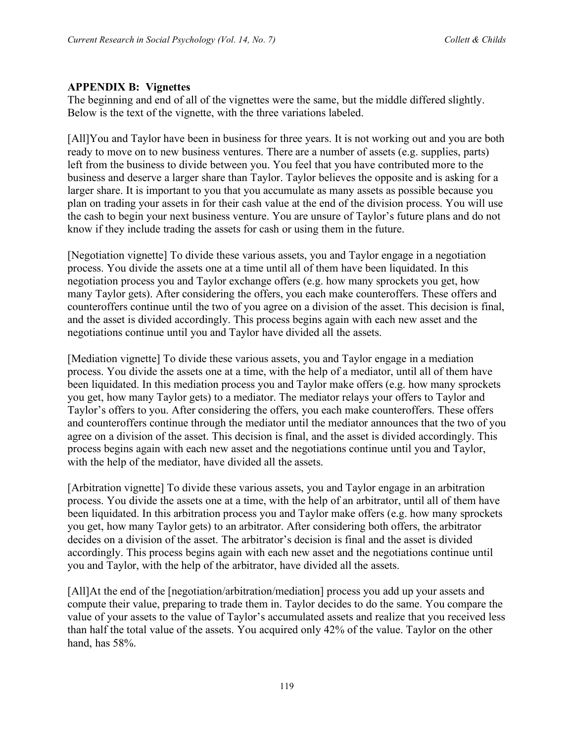#### **APPENDIX B: Vignettes**

The beginning and end of all of the vignettes were the same, but the middle differed slightly. Below is the text of the vignette, with the three variations labeled.

[All]You and Taylor have been in business for three years. It is not working out and you are both ready to move on to new business ventures. There are a number of assets (e.g. supplies, parts) left from the business to divide between you. You feel that you have contributed more to the business and deserve a larger share than Taylor. Taylor believes the opposite and is asking for a larger share. It is important to you that you accumulate as many assets as possible because you plan on trading your assets in for their cash value at the end of the division process. You will use the cash to begin your next business venture. You are unsure of Taylor's future plans and do not know if they include trading the assets for cash or using them in the future.

[Negotiation vignette] To divide these various assets, you and Taylor engage in a negotiation process. You divide the assets one at a time until all of them have been liquidated. In this negotiation process you and Taylor exchange offers (e.g. how many sprockets you get, how many Taylor gets). After considering the offers, you each make counteroffers. These offers and counteroffers continue until the two of you agree on a division of the asset. This decision is final, and the asset is divided accordingly. This process begins again with each new asset and the negotiations continue until you and Taylor have divided all the assets.

[Mediation vignette] To divide these various assets, you and Taylor engage in a mediation process. You divide the assets one at a time, with the help of a mediator, until all of them have been liquidated. In this mediation process you and Taylor make offers (e.g. how many sprockets you get, how many Taylor gets) to a mediator. The mediator relays your offers to Taylor and Taylor's offers to you. After considering the offers, you each make counteroffers. These offers and counteroffers continue through the mediator until the mediator announces that the two of you agree on a division of the asset. This decision is final, and the asset is divided accordingly. This process begins again with each new asset and the negotiations continue until you and Taylor, with the help of the mediator, have divided all the assets.

[Arbitration vignette] To divide these various assets, you and Taylor engage in an arbitration process. You divide the assets one at a time, with the help of an arbitrator, until all of them have been liquidated. In this arbitration process you and Taylor make offers (e.g. how many sprockets you get, how many Taylor gets) to an arbitrator. After considering both offers, the arbitrator decides on a division of the asset. The arbitrator's decision is final and the asset is divided accordingly. This process begins again with each new asset and the negotiations continue until you and Taylor, with the help of the arbitrator, have divided all the assets.

[All]At the end of the [negotiation/arbitration/mediation] process you add up your assets and compute their value, preparing to trade them in. Taylor decides to do the same. You compare the value of your assets to the value of Taylor's accumulated assets and realize that you received less than half the total value of the assets. You acquired only 42% of the value. Taylor on the other hand, has 58%.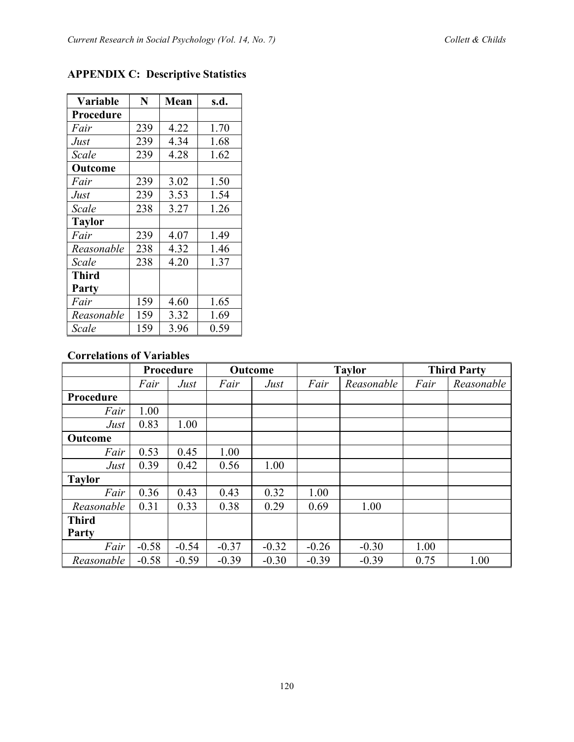| <b>Variable</b> | N   | <b>Mean</b> | s.d. |
|-----------------|-----|-------------|------|
| Procedure       |     |             |      |
| Fair            | 239 | 4.22        | 1.70 |
| Just            | 239 | 4.34        | 1.68 |
| Scale           | 239 | 4.28        | 1.62 |
| Outcome         |     |             |      |
| Fair            | 239 | 3.02        | 1.50 |
| Just            | 239 | 3.53        | 1.54 |
| Scale           | 238 | 3.27        | 1.26 |
| <b>Taylor</b>   |     |             |      |
| Fair            | 239 | 4.07        | 1.49 |
| Reasonable      | 238 | 4.32        | 1.46 |
| Scale           | 238 | 4.20        | 1.37 |
| <b>Third</b>    |     |             |      |
| Party           |     |             |      |
| Fair            | 159 | 4.60        | 1.65 |
| Reasonable      | 159 | 3.32        | 1.69 |
| Scale           | 159 | 3.96        | 0.59 |

# **APPENDIX C: Descriptive Statistics**

## **Correlations of Variables**

|                | Procedure |         | Outcome |         | <b>Taylor</b> |            | <b>Third Party</b> |            |
|----------------|-----------|---------|---------|---------|---------------|------------|--------------------|------------|
|                | Fair      | Just    | Fair    | Just    | Fair          | Reasonable | Fair               | Reasonable |
| Procedure      |           |         |         |         |               |            |                    |            |
| Fair           | 1.00      |         |         |         |               |            |                    |            |
| Just           | 0.83      | 1.00    |         |         |               |            |                    |            |
| <b>Outcome</b> |           |         |         |         |               |            |                    |            |
| Fair           | 0.53      | 0.45    | 1.00    |         |               |            |                    |            |
| Just           | 0.39      | 0.42    | 0.56    | 1.00    |               |            |                    |            |
| <b>Taylor</b>  |           |         |         |         |               |            |                    |            |
| Fair           | 0.36      | 0.43    | 0.43    | 0.32    | 1.00          |            |                    |            |
| Reasonable     | 0.31      | 0.33    | 0.38    | 0.29    | 0.69          | 1.00       |                    |            |
| <b>Third</b>   |           |         |         |         |               |            |                    |            |
| Party          |           |         |         |         |               |            |                    |            |
| Fair           | $-0.58$   | $-0.54$ | $-0.37$ | $-0.32$ | $-0.26$       | $-0.30$    | 1.00               |            |
| Reasonable     | $-0.58$   | $-0.59$ | $-0.39$ | $-0.30$ | $-0.39$       | $-0.39$    | 0.75               | 1.00       |